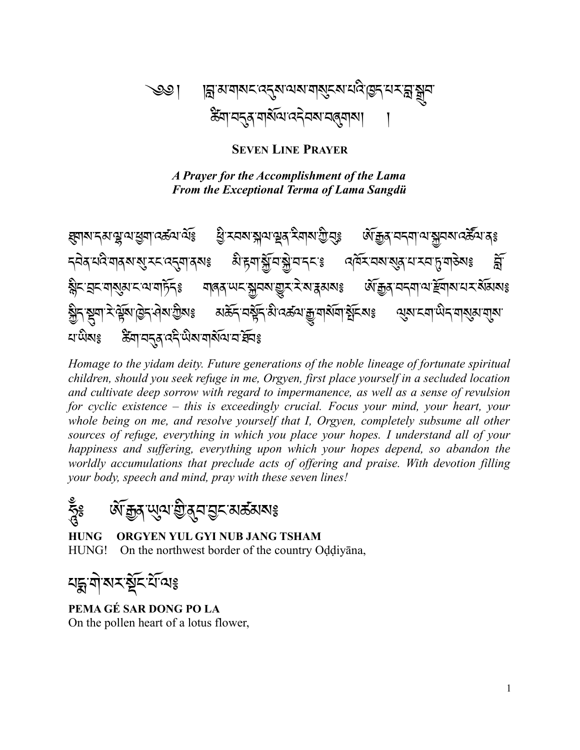## ্ঞ। ান্লমামামানব্কুমানমামান্ত্ৰমানবিভিন্নমান্ত্ৰীয ཚིག་བདུན་གསོལ་འདེབས་བཞུགས། །

**SEVEN LINE PRAYER**

 *A Prayer for the Accomplishment of the Lama From the Exceptional Terma of Lama Sangdü*

ཐུགས་དམ་ལྷ་ལ་ཕྱག་འཚལ་ལོ༔ ཕྱི་རབས་སྐལ་ལྡན་རིགས་ཀྱི་བུ༔ ཨོ་རྒྱན་བདག་ལ་སྐྱབས་འཚོལ་ན༔ <u></u> ॸऄॺॱথইॱমাৰ্মা্য্ম্ম্ মহাৰ্ম্ম্ৰাৰ্ম্যঃ এঁ'ৰ্দ্ৰাষ্ট্ৰ্যি মুদ্ৰাম্ম্ৰাস্ম্ৰা অনুষ্মাৰ্য্য্য্য্য বিভিন্ন বিভি ৡ৾৲ৼঽ৲য়য়য়য়ৼ৻য়ৼয়ঢ়ৢৼ<br>য়৽ৼয়৽য়৾ড়য়৽ৼ৽৻৸ড়ঢ়ৼ৽ ষ্ঠীন মুনা মণ্ট্ৰমাণ্ডীন প্ৰমাত্তীমঃ মৰ্ক্তন নম্ব্ৰন মিণ্ডকৰ মুনাৰ্যমা মুনিমাঃ থ্ৰমা মনা অনা মাৰ্যমান্মমা খাড়াগু উনা বৰ্ত্ত কৰি আৰু বিৰিঃ

*Homage to the yidam deity. Future generations of the noble lineage of fortunate spiritual children, should you seek refuge in me, Orgyen, first place yourself in a secluded location and cultivate deep sorrow with regard to impermanence, as well as a sense of revulsion for cyclic existence – this is exceedingly crucial. Focus your mind, your heart, your whole being on me, and resolve yourself that I, Orgyen, completely subsume all other sources of refuge, everything in which you place your hopes. I understand all of your happiness and suffering, everything upon which your hopes depend, so abandon the worldly accumulations that preclude acts of offering and praise. With devotion filling your body, speech and mind, pray with these seven lines!*

হ্ন্দ্রূঃ ঔদ্ধ্রিসম্মূখ্য গ্রীষ্ট্রান্ড সেত্র সাথায়

**HUNG ORGYEN YUL GYI NUB JANG TSHAM** HUNG! On the northwest border of the country Oḍḍiyāna,

৸হ্মজাময়ৰ্ষ্ট শ্ৰমণ

**PEMA GÉ SAR DONG PO LA** On the pollen heart of a lotus flower,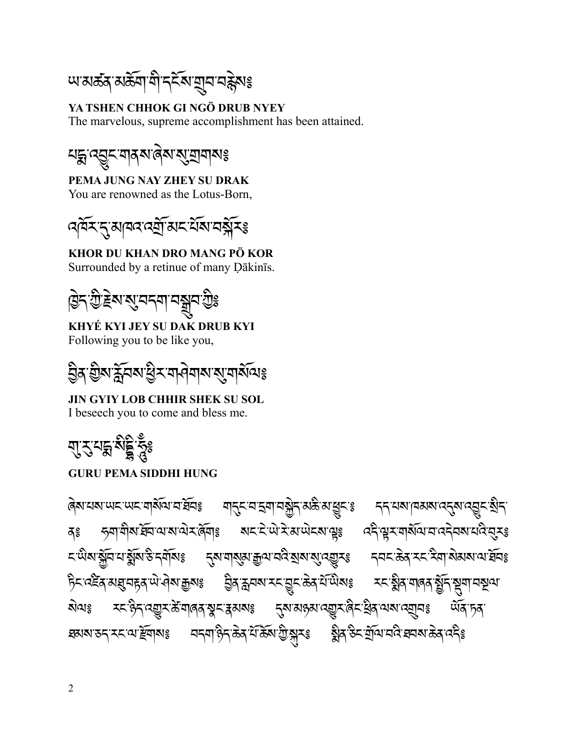ཡ་མཚན་མཆོག་གི་དངོས་གྲུབ་བརྙེས༔

**YA TSHEN CHHOK GI NGÖ DRUB NYEY** The marvelous, supreme accomplishment has been attained.



**PEMA JUNG NAY ZHEY SU DRAK** You are renowned as the Lotus-Born,



**KHOR DU KHAN DRO MANG PÖ KOR** Surrounded by a retinue of many Ḍākinīs.

ছিন্'গ্ৰীষ্ট্ৰম'ম্ভ্ৰমব্মানস্ত্ৰুৰ'গ্ৰীঃ

**KHYÉ KYI JEY SU DAK DRUB KYI** Following you to be like you,

ঠ্রির গ্রীষ্ম ক্ল্লীব্রুর স্ত্রীয় স্থানীতাঃ

**JIN GYIY LOB CHHIR SHEK SU SOL** I beseech you to come and bless me.

মুম্বন্দ্ৰ মই হৈঃ

## **GURU PEMA SIDDHI HUNG**

ཞེས་པས་ཡང་ཡང་གསོལ་བ་ཐོབ༔ གདུང་བ་དྲག་བསྐྱེད་མཆི་མ་ཕྱུང་༔ དད་པས་ཁམས་འདུས་འབྱུང་སྲིད་ বঃ সমামীমাৰ্ঘিন যামা বিমাঃ মহাইাঞ্চাই আৰু বহ্ৰী অনুসমামত্ৰী বিমা *८*་ਘੈঝ་སྐྱོབ་པ་སྲོས་ᢒེ་དགོསঃ དུས་གསུམ་རྒྱལ་བའི་སྲས་སུ་འརྱུརঃ དབང་கॆན་རང་རིག་སེམས་ལ་རོབঃ টিহাবাই বাৰ্ষ্ম বিৰোক্ত বিৰুদ্ধৰ সম্পূৰ্ণ সম্প্ৰতি বিৰোক্ত বিৰোক্ত সম্প্ৰতি বিৰোক্ত সম্প্ৰতি বিৰোক্ত সম্প্ৰতি <u>য়৾</u>৽৽ য়ৼ৾ড়৸ৼড়ৢয়ৼ৾য়৽ঢ়ঀয়ড়য়ৼড়ৼৼয়৸ৼ৽ ঘঝমাডন্সমে থাৰ্ছবামঃ নন্মাণ্ডলিক্টেমিউটো স্কুমঃ ষ্ট্ৰীৰ্ডিম ব্ৰিয়াননি ঘনমাক্তৰ্ব নেইঃ